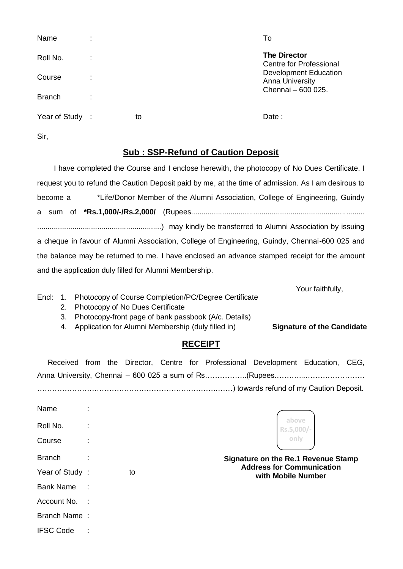| Name            |   |    | To                                              |
|-----------------|---|----|-------------------------------------------------|
| Roll No.        | ٠ |    | <b>The Director</b><br>Centre for Professional  |
| Course          | ٠ |    | Development Education<br><b>Anna University</b> |
| <b>Branch</b>   |   |    | Chennai - 600 025.                              |
| Year of Study : |   | to | Date:                                           |
| Sir,            |   |    |                                                 |

## **Sub : SSP-Refund of Caution Deposit**

 I have completed the Course and I enclose herewith, the photocopy of No Dues Certificate. I request you to refund the Caution Deposit paid by me, at the time of admission. As I am desirous to become a \*Life/Donor Member of the Alumni Association, College of Engineering, Guindy a sum of **\*Rs.1,000/-/Rs.2,000/** (Rupees.................................................................................... ............................................................) may kindly be transferred to Alumni Association by issuing a cheque in favour of Alumni Association, College of Engineering, Guindy, Chennai-600 025 and the balance may be returned to me. I have enclosed an advance stamped receipt for the amount and the application duly filled for Alumni Membership.

Your faithfully,

Encl: 1. Photocopy of Course Completion/PC/Degree Certificate

IFSC Code :

- 2. Photocopy of No Dues Certificate
- 3. Photocopy-front page of bank passbook (A/c. Details)
- 4. Application for Alumni Membership (duly filled in) **Signature of the Candidate**

## **RECEIPT**

|  |  |  | Received from the Director, Centre for Professional Development Education, CEG, |  |
|--|--|--|---------------------------------------------------------------------------------|--|
|  |  |  |                                                                                 |  |
|  |  |  |                                                                                 |  |

| Name             |              |    |                                                                         |
|------------------|--------------|----|-------------------------------------------------------------------------|
| Roll No.         |              |    | above<br>Rs.5,000/-                                                     |
| Course           |              |    | only                                                                    |
| <b>Branch</b>    |              |    | Signature on the Re.1 Revenue Stamp<br><b>Address for Communication</b> |
| Year of Study:   |              | to | with Mobile Number                                                      |
| <b>Bank Name</b> | $\mathbb{R}$ |    |                                                                         |
| Account No.      | $\sim$ 1.    |    |                                                                         |
| Branch Name:     |              |    |                                                                         |